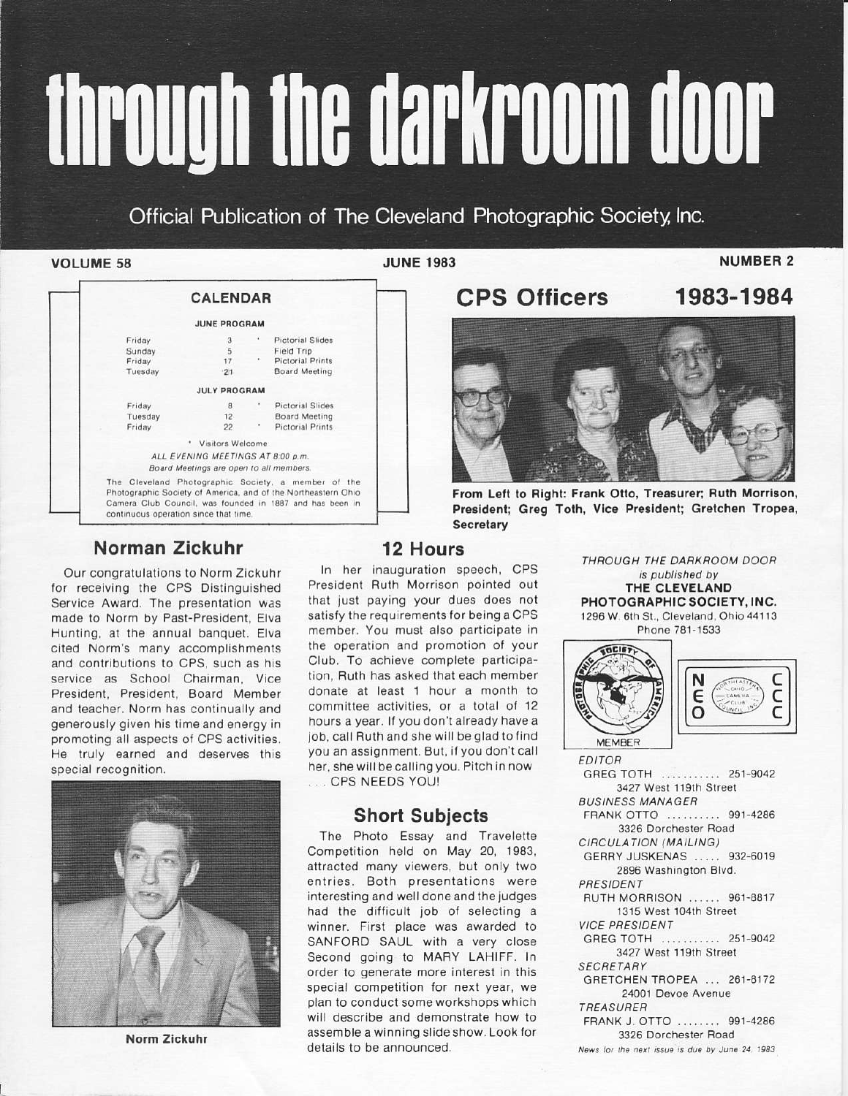# through the darkroom door

Official Publication of The Cleveland Photographic Society, Inc.

## **VOLUME 58**

**JUNE 1983** 

**CPS Officers** 

**NUMBER 2** 

1983-1984

|                                       | <b>CALENDAR</b>                         |                                                                                                                                                                                  |
|---------------------------------------|-----------------------------------------|----------------------------------------------------------------------------------------------------------------------------------------------------------------------------------|
|                                       | <b>JUNE PROGRAM</b>                     |                                                                                                                                                                                  |
| Friday                                | з                                       | <b>Pictorial Slides</b>                                                                                                                                                          |
| Sunday                                | 5                                       | Field Trip                                                                                                                                                                       |
| Friday                                | 17                                      | <b>Pictorial Prints</b>                                                                                                                                                          |
| Tuesday                               | $-21$                                   | <b>Board Meeting</b>                                                                                                                                                             |
|                                       | <b>JULY PROGRAM</b>                     |                                                                                                                                                                                  |
| Friday                                | R                                       | Pictorial Slides                                                                                                                                                                 |
| Tuesday                               | 12                                      | Board Meeting                                                                                                                                                                    |
| Friday                                | $22^{\circ}$                            | Pictorial Prints                                                                                                                                                                 |
|                                       | * Visitors Welcome                      |                                                                                                                                                                                  |
|                                       | ALL EVENING MEETINGS AT 8:00 p.m.       |                                                                                                                                                                                  |
|                                       | Board Meetings are open to all members. |                                                                                                                                                                                  |
| continuous operation since that time. |                                         | The Cleveland Photographic Society, a member of the<br>Photographic Society of America, and of the Northeastern Ohio<br>Camera Club Council, was founded in 1887 and has been in |

# Norman Zickuhr

Our congratulations to Norm Zickuhr for receiving the CPS Distinguished Service Award. The presentation was made to Norm by Past-President, Elva Hunting, at the annual banquet. Elva cited Norm's many accomplishments and contributions to CPS, such as his service as School Chairman, Vice President, President, Board Member and teacher. Norm has continually and generously given his time and energy in promoting all aspects of CPS activities. He truly earned and deserves this special recognition.



Norm Zickuhr

**12 Hours** In her inauguration speech, CPS President Ruth Morrison pointed out that just paying your dues does not satisfy the requirements for being a CPS member. You must also participate in the operation and promotion of your Club. To achieve complete participation. Ruth has asked that each member donate at least 1 hour a month to committee activities, or a total of 12 hours a year. If you don't already have a job, call Ruth and she will be glad to find you an assignment. But, if you don't call her, she will be calling you. Pitch in now ... CPS NEEDS YOU!

# **Short Subjects**

The Photo Essay and Travelette Competition held on May 20, 1983, attracted many viewers, but only two entries. Both presentations were interesting and well done and the judges had the difficult job of selecting a winner. First place was awarded to SANFORD SAUL with a very close Second going to MARY LAHIFF. In order to generate more interest in this special competition for next year, we plan to conduct some workshops which will describe and demonstrate how to assemble a winning slide show. Look for details to be announced.

From Left to Right: Frank Otto, Treasurer; Ruth Morrison, President; Greg Toth, Vice President; Gretchen Tropea, **Secretary** 

> THROUGH THE DARKROOM DOOR is published by THE CLEVELAND PHOTOGRAPHIC SOCIETY, INC. 1296 W. 6th St., Cleveland, Ohio 44113 Phone 781-1533



**EDITOR** GREG TOTH .......... 251-9042 3427 West 119th Street **BUSINESS MANAGER** FRANK OTTO .......... 991-4286 3326 Dorchester Road CIRCULATION (MAILING) GERRY JUSKENAS ..... 932-6019 2896 Washington Blvd. PRESIDENT RUTH MORRISON ...... 961-8817 1315 West 104th Street **VICE PRESIDENT** GREG TOTH .......... 251-9042 3427 West 119th Street **SECRETARY** GRETCHEN TROPEA ... 261-8172 24001 Devoe Avenue TREASURER FRANK J. OTTO ........ 991-4286 3326 Dorchester Road News for the next issue is due by June 24, 1983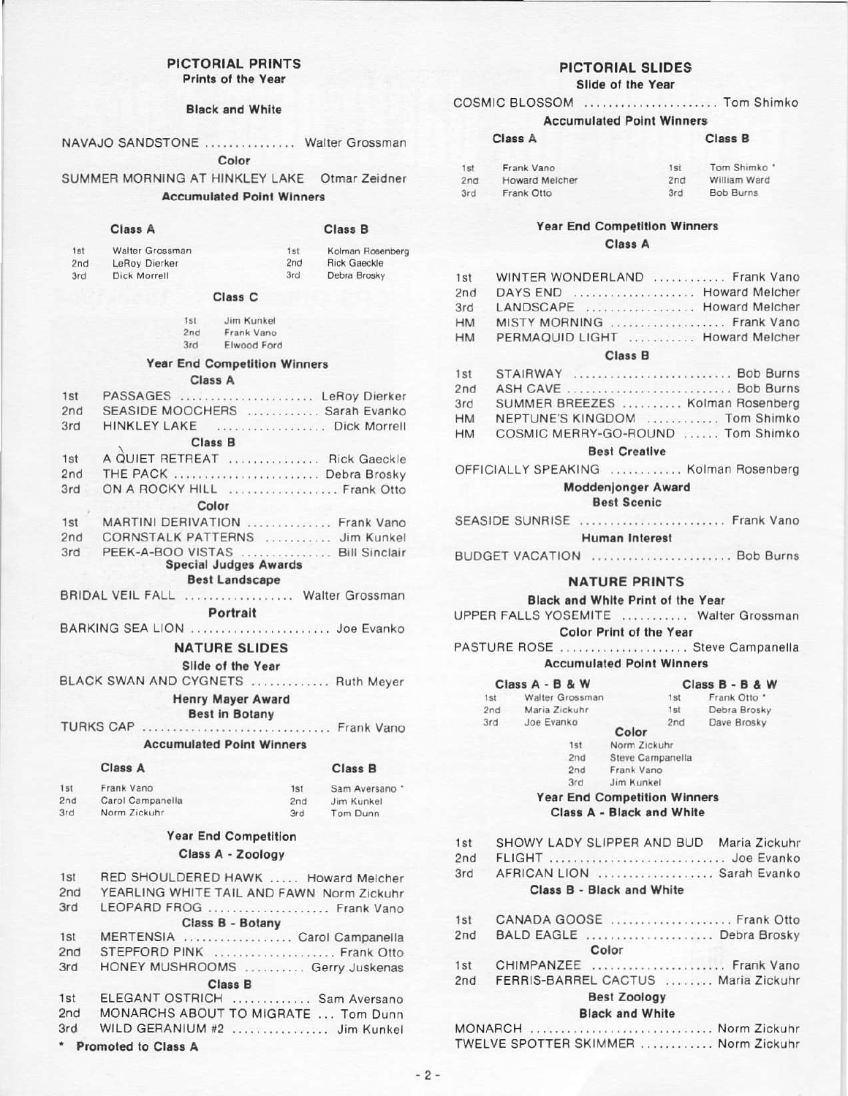# **PICTORIAL PRINTS**

Prints of the Year

**Black and White** 

|  | NAVAJO SANDSTONE | Walter Grossman |
|--|------------------|-----------------|
|  |                  |                 |

Color

SUMMER MORNING AT HINKLEY LAKE Otmar Zeidner

**Accumulated Point Winners** 

# Class A

Class B

| 1st | Walter Grossman | 1st | Kolman Rosenberg    |
|-----|-----------------|-----|---------------------|
| 2nd | LeRoy Dierker   | 2nd | <b>Rick Gaeckle</b> |
| 3rd | Dick Morrell    | 3rd | Debra Brosky        |

### Class<sub>C</sub>

| 1st | Jim Kunkel  |
|-----|-------------|
| 2nd | Frank Vano  |
| 3rd | Elwood Ford |

### **Year End Competition Winners**

### Class A

| 1st | PASSAGES  LeRoy Dierker                                          |
|-----|------------------------------------------------------------------|
| 2nd | SEASIDE MOOCHERS  Sarah Evanko                                   |
| 3rd | HINKLEY LAKE  Dick Morrell                                       |
|     | <b>Class B</b>                                                   |
| 1st | A QUIET RETREAT  Rick Gaeckle                                    |
| 2nd | THE PACK  Debra Brosky                                           |
| 3rd | ON A ROCKY HILL  Frank Otto                                      |
|     | Color                                                            |
| 1st | MARTINI DERIVATION  Frank Vano                                   |
| 2nd | CORNSTALK PATTERNS  Jim Kunkel                                   |
| 3rd | PEEK-A-BOO VISTAS  Bill Sinclair<br><b>Special Judges Awards</b> |

**Best Landscape** 

BRIDAL VEIL FALL .................. Walter Grossman

Portrait

BARKING SEA LION ........................ Joe Evanko

### **NATURE SLIDES**

Slide of the Year

BLACK SWAN AND CYGNETS ............. Ruth Meyer

**Henry Mayer Award** 

**Best in Botany** 

TURKS CAP ................................. Frank Vano

**Accumulated Point Winners** 

### Class A

### Class B

| 1 <sub>st</sub> | Frank Vano       | 1st | Sam Aversano * |
|-----------------|------------------|-----|----------------|
| 2nd             | Carol Campanella | 2nd | Jim Kunkel     |
| 3rd             | Norm Zickuhr     | 3rd | Tom Dunn       |

### **Year End Competition** Class A - Zoology

| 1st | RED SHOULDERED HAWK  Howard Melcher       |
|-----|-------------------------------------------|
| 2nd | YEARLING WHITE TAIL AND FAWN Norm Zickuhr |
| 3rd | LEOPARD FROG  Frank Vano                  |
|     | Class B - Botany                          |
| 1st | MERTENSIA  Carol Campanella               |
| 2nd | STEPFORD PINK  Frank Otto                 |
| 3rd | HONEY MUSHROOMS  Gerry Juskenas           |
|     | <b>Class B</b>                            |
| 1st | ELEGANT OSTRICH  Sam Aversano             |
| 2nd | MONARCHS ABOUT TO MIGRATE  Tom Dunn       |
| 3rd | WILD GERANIUM #2  Jim Kunkel              |

\* Promoted to Class A

### PICTORIAL SLIDES Slide of the Year

### COSMIC BLOSSOM ....................... Tom Shimko

Clean P

### **Accumulated Point Winners**

 $C<sub>l</sub>$ 

| G1433 M |                | <b>CIASS</b> D |                  |  |
|---------|----------------|----------------|------------------|--|
| 1st     | Frank Vano     | 1st            | Tom Shimko *     |  |
| 2nd     | Howard Melcher | 2nd            | William Ward     |  |
| 3rd     | Frank Otto     | 3rd            | <b>Bob Burns</b> |  |

# **Year End Competition Winners**

Class A

| Ist             | WINTER WONDERLAND  Frank Vano    |
|-----------------|----------------------------------|
| <sub>2</sub> nd | DAYS END  Howard Melcher         |
| 3rd             | LANDSCAPE  Howard Melcher        |
| $+M$            | MISTY MORNING  Frank Vano        |
| HM              | PERMAQUID LIGHT  Howard Melcher  |
|                 | <b>Class B</b>                   |
| lst.            | STAIRWAY  Bob Burns              |
| nd?             | ASH CAVE  Bob Burns              |
| 3rd             | SUMMER BREEZES  Kolman Rosenberg |
|                 |                                  |

| 3rd | SUMMER BREEZES        | Kolman Rosenberg |
|-----|-----------------------|------------------|
| HМ  | NEPTUNE'S KINGDOM     | Tom Shimko       |
| HМ  | COSMIC MERRY-GO-ROUND | Tom Shimko       |

### **Best Creative**

OFFICIALLY SPEAKING ............ Kolman Rosenberg

### **Moddenjonger Award Best Scenic**

SEASIDE SUNRISE ......................... Frank Vano

**Human Interest** 

BUDGET VACATION ........................ Bob Burns

## **NATURE PRINTS**

Black and White Print of the Year

UPPER FALLS YOSEMITE ........... Walter Grossman Color Print of the Year

PASTURE ROSE .................... Steve Campanella **Accumulated Point Winners** 

|     | Class A - B & W |                  |     | Class B - B & W |
|-----|-----------------|------------------|-----|-----------------|
| 1st | Walter Grossman |                  | 1st | Frank Otto *    |
| 2nd | Maria Zickuhr   |                  | 1st | Debra Brosky    |
| 3rd | Joe Evanko      | Color            | 2nd | Dave Brosky     |
|     | 1st             | Norm Zickuhr     |     |                 |
|     | 2nd             | Steve Campanella |     |                 |
|     | 2nd             | Frank Vano       |     |                 |
|     | 3rd             | Jim Kunkel       |     |                 |

**Year End Competition Winners** Class A - Black and White

| 1st | SHOWY LADY SLIPPER AND BUD Maria Zickuhr |
|-----|------------------------------------------|
| 2nd | FLIGHT  Joe Evanko                       |
| 3rd | AFRICAN LION  Sarah Evanko               |
|     | Class B - Black and White                |
| 1st | CANADA GOOSE  Frank Otto                 |
| 2nd | BALD EAGLE  Debra Brosky                 |
|     | Color                                    |
| 1st | CHIMPANZEE  Frank Vano                   |
| 2nd | FERRIS-BARREL CACTUS  Maria Zickuhr      |
|     | <b>Best Zoology</b>                      |
|     | <b>Black and White</b>                   |

| MONARCH                | Norm Zickuhr |
|------------------------|--------------|
| TWELVE SPOTTER SKIMMER | Norm Zickuhr |

٦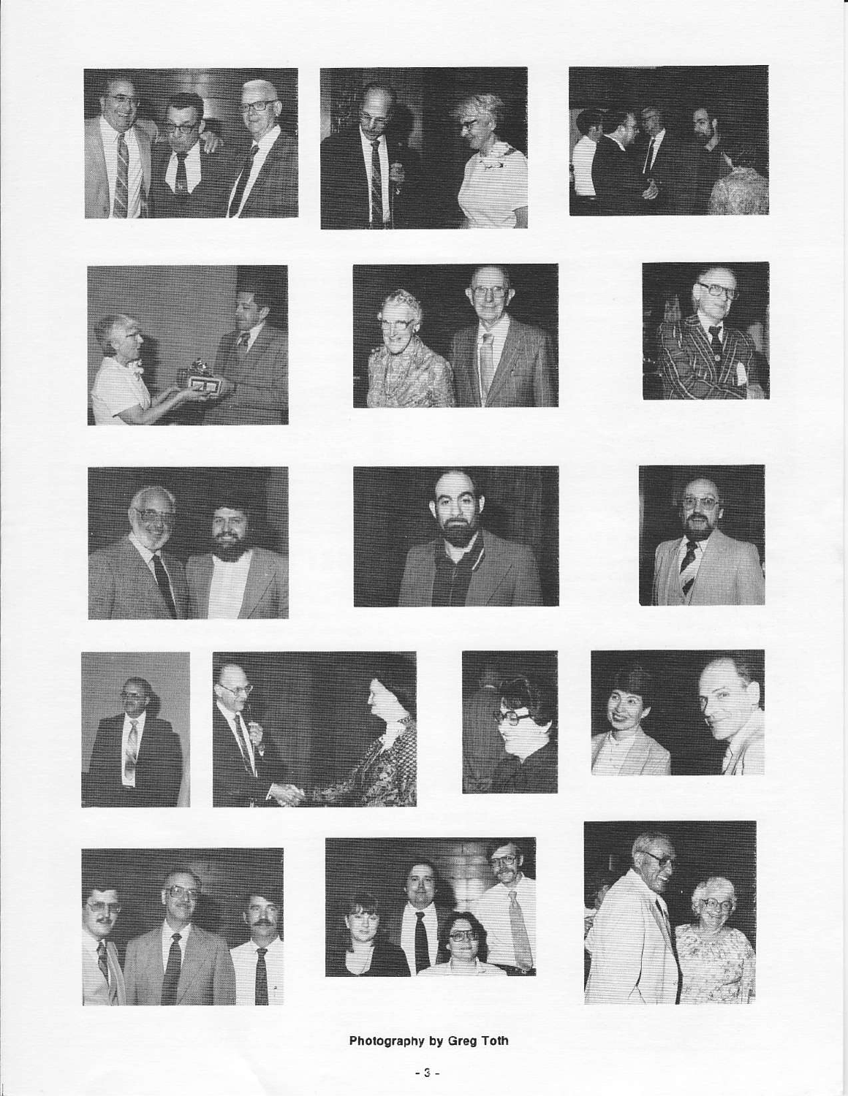































Photography by Greg Toth